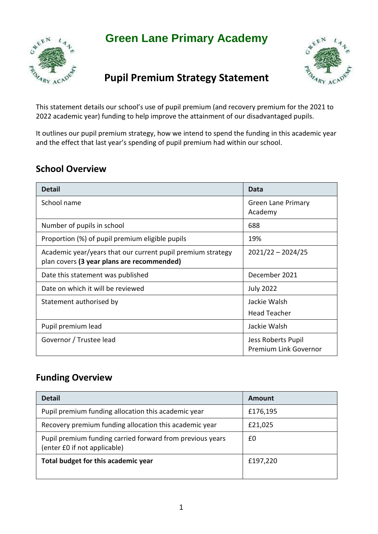# **Green Lane Primary Academy**





# **Pupil Premium Strategy Statement**

This statement details our school's use of pupil premium (and recovery premium for the 2021 to 2022 academic year) funding to help improve the attainment of our disadvantaged pupils.

It outlines our pupil premium strategy, how we intend to spend the funding in this academic year and the effect that last year's spending of pupil premium had within our school.

### **School Overview**

| <b>Detail</b>                                                                                             | Data                                               |
|-----------------------------------------------------------------------------------------------------------|----------------------------------------------------|
| School name                                                                                               | <b>Green Lane Primary</b><br>Academy               |
| Number of pupils in school                                                                                | 688                                                |
| Proportion (%) of pupil premium eligible pupils                                                           | 19%                                                |
| Academic year/years that our current pupil premium strategy<br>plan covers (3 year plans are recommended) | $2021/22 - 2024/25$                                |
| Date this statement was published                                                                         | December 2021                                      |
| Date on which it will be reviewed                                                                         | <b>July 2022</b>                                   |
| Statement authorised by                                                                                   | Jackie Walsh                                       |
|                                                                                                           | <b>Head Teacher</b>                                |
| Pupil premium lead                                                                                        | Jackie Walsh                                       |
| Governor / Trustee lead                                                                                   | Jess Roberts Pupil<br><b>Premium Link Governor</b> |

#### **Funding Overview**

| <b>Detail</b>                                                                             | Amount   |
|-------------------------------------------------------------------------------------------|----------|
| Pupil premium funding allocation this academic year                                       | £176,195 |
| Recovery premium funding allocation this academic year                                    | £21,025  |
| Pupil premium funding carried forward from previous years<br>(enter £0 if not applicable) | £0       |
| Total budget for this academic year                                                       | £197,220 |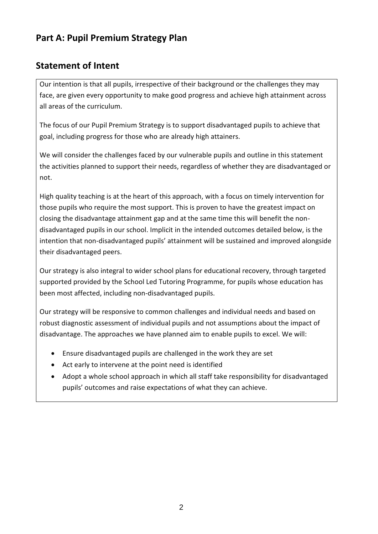### **Part A: Pupil Premium Strategy Plan**

### **Statement of Intent**

Our intention is that all pupils, irrespective of their background or the challenges they may face, are given every opportunity to make good progress and achieve high attainment across all areas of the curriculum.

The focus of our Pupil Premium Strategy is to support disadvantaged pupils to achieve that goal, including progress for those who are already high attainers.

We will consider the challenges faced by our vulnerable pupils and outline in this statement the activities planned to support their needs, regardless of whether they are disadvantaged or not.

High quality teaching is at the heart of this approach, with a focus on timely intervention for those pupils who require the most support. This is proven to have the greatest impact on closing the disadvantage attainment gap and at the same time this will benefit the nondisadvantaged pupils in our school. Implicit in the intended outcomes detailed below, is the intention that non-disadvantaged pupils' attainment will be sustained and improved alongside their disadvantaged peers.

Our strategy is also integral to wider school plans for educational recovery, through targeted supported provided by the School Led Tutoring Programme, for pupils whose education has been most affected, including non-disadvantaged pupils.

Our strategy will be responsive to common challenges and individual needs and based on robust diagnostic assessment of individual pupils and not assumptions about the impact of disadvantage. The approaches we have planned aim to enable pupils to excel. We will:

- Ensure disadvantaged pupils are challenged in the work they are set
- Act early to intervene at the point need is identified
- Adopt a whole school approach in which all staff take responsibility for disadvantaged pupils' outcomes and raise expectations of what they can achieve.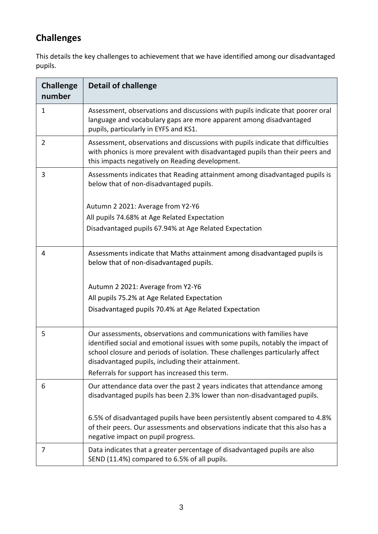## **Challenges**

This details the key challenges to achievement that we have identified among our disadvantaged pupils.

| <b>Challenge</b><br>number | <b>Detail of challenge</b>                                                                                                                                                                                                                                                                  |
|----------------------------|---------------------------------------------------------------------------------------------------------------------------------------------------------------------------------------------------------------------------------------------------------------------------------------------|
| 1                          | Assessment, observations and discussions with pupils indicate that poorer oral<br>language and vocabulary gaps are more apparent among disadvantaged<br>pupils, particularly in EYFS and KS1.                                                                                               |
| 2                          | Assessment, observations and discussions with pupils indicate that difficulties<br>with phonics is more prevalent with disadvantaged pupils than their peers and<br>this impacts negatively on Reading development.                                                                         |
| 3                          | Assessments indicates that Reading attainment among disadvantaged pupils is<br>below that of non-disadvantaged pupils.                                                                                                                                                                      |
|                            | Autumn 2 2021: Average from Y2-Y6                                                                                                                                                                                                                                                           |
|                            | All pupils 74.68% at Age Related Expectation                                                                                                                                                                                                                                                |
|                            | Disadvantaged pupils 67.94% at Age Related Expectation                                                                                                                                                                                                                                      |
| 4                          | Assessments indicate that Maths attainment among disadvantaged pupils is<br>below that of non-disadvantaged pupils.                                                                                                                                                                         |
|                            | Autumn 2 2021: Average from Y2-Y6                                                                                                                                                                                                                                                           |
|                            | All pupils 75.2% at Age Related Expectation                                                                                                                                                                                                                                                 |
|                            | Disadvantaged pupils 70.4% at Age Related Expectation                                                                                                                                                                                                                                       |
| 5                          | Our assessments, observations and communications with families have<br>identified social and emotional issues with some pupils, notably the impact of<br>school closure and periods of isolation. These challenges particularly affect<br>disadvantaged pupils, including their attainment. |
|                            | Referrals for support has increased this term.                                                                                                                                                                                                                                              |
| 6                          | Our attendance data over the past 2 years indicates that attendance among<br>disadvantaged pupils has been 2.3% lower than non-disadvantaged pupils.                                                                                                                                        |
|                            | 6.5% of disadvantaged pupils have been persistently absent compared to 4.8%<br>of their peers. Our assessments and observations indicate that this also has a<br>negative impact on pupil progress.                                                                                         |
| 7                          | Data indicates that a greater percentage of disadvantaged pupils are also<br>SEND (11.4%) compared to 6.5% of all pupils.                                                                                                                                                                   |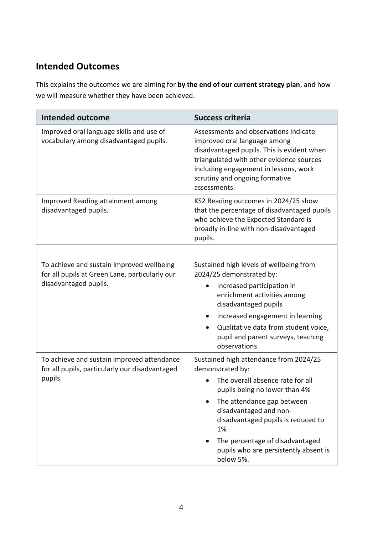### **Intended Outcomes**

This explains the outcomes we are aiming for **by the end of our current strategy plan**, and how we will measure whether they have been achieved.

| <b>Intended outcome</b>                                                                                              | <b>Success criteria</b>                                                                                                                                                                                                                                                                                                           |  |
|----------------------------------------------------------------------------------------------------------------------|-----------------------------------------------------------------------------------------------------------------------------------------------------------------------------------------------------------------------------------------------------------------------------------------------------------------------------------|--|
| Improved oral language skills and use of<br>vocabulary among disadvantaged pupils.                                   | Assessments and observations indicate<br>improved oral language among<br>disadvantaged pupils. This is evident when<br>triangulated with other evidence sources<br>including engagement in lessons, work<br>scrutiny and ongoing formative<br>assessments.                                                                        |  |
| Improved Reading attainment among<br>disadvantaged pupils.                                                           | KS2 Reading outcomes in 2024/25 show<br>that the percentage of disadvantaged pupils<br>who achieve the Expected Standard is<br>broadly in-line with non-disadvantaged<br>pupils.                                                                                                                                                  |  |
| To achieve and sustain improved wellbeing<br>for all pupils at Green Lane, particularly our<br>disadvantaged pupils. | Sustained high levels of wellbeing from<br>2024/25 demonstrated by:<br>Increased participation in<br>$\bullet$<br>enrichment activities among<br>disadvantaged pupils<br>Increased engagement in learning<br>$\bullet$<br>Qualitative data from student voice,<br>$\bullet$<br>pupil and parent surveys, teaching<br>observations |  |
| To achieve and sustain improved attendance<br>for all pupils, particularly our disadvantaged<br>pupils.              | Sustained high attendance from 2024/25<br>demonstrated by:<br>The overall absence rate for all<br>pupils being no lower than 4%<br>The attendance gap between<br>disadvantaged and non-<br>disadvantaged pupils is reduced to<br>1%<br>The percentage of disadvantaged<br>pupils who are persistently absent is<br>below 5%.      |  |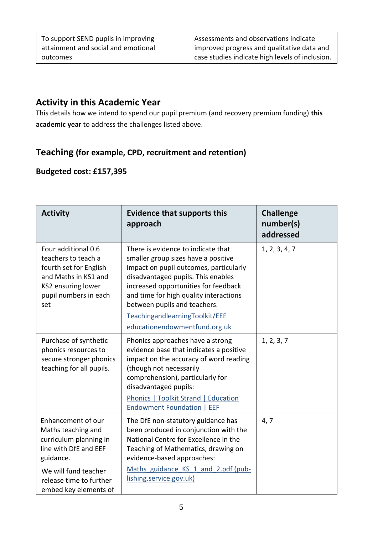To support SEND pupils in improving attainment and social and emotional outcomes

Assessments and observations indicate improved progress and qualitative data and case studies indicate high levels of inclusion.

#### **Activity in this Academic Year**

This details how we intend to spend our pupil premium (and recovery premium funding) **this academic year** to address the challenges listed above.

#### **Teaching (for example, CPD, recruitment and retention)**

#### **Budgeted cost: £157,395**

| <b>Activity</b>                                                                                                                                                                      | <b>Evidence that supports this</b><br>approach                                                                                                                                                                                                                                                                                                 | <b>Challenge</b><br>number(s)<br>addressed |
|--------------------------------------------------------------------------------------------------------------------------------------------------------------------------------------|------------------------------------------------------------------------------------------------------------------------------------------------------------------------------------------------------------------------------------------------------------------------------------------------------------------------------------------------|--------------------------------------------|
| Four additional 0.6<br>teachers to teach a<br>fourth set for English<br>and Maths in KS1 and<br>KS2 ensuring lower<br>pupil numbers in each<br>set                                   | There is evidence to indicate that<br>smaller group sizes have a positive<br>impact on pupil outcomes, particularly<br>disadvantaged pupils. This enables<br>increased opportunities for feedback<br>and time for high quality interactions<br>between pupils and teachers.<br>TeachingandlearningToolkit/EEF<br>educationendowmentfund.org.uk | 1, 2, 3, 4, 7                              |
| Purchase of synthetic<br>phonics resources to<br>secure stronger phonics<br>teaching for all pupils.                                                                                 | Phonics approaches have a strong<br>evidence base that indicates a positive<br>impact on the accuracy of word reading<br>(though not necessarily<br>comprehension), particularly for<br>disadvantaged pupils:<br>Phonics   Toolkit Strand   Education<br><b>Endowment Foundation  </b><br>EEF                                                  | 1, 2, 3, 7                                 |
| Enhancement of our<br>Maths teaching and<br>curriculum planning in<br>line with DfE and EEF<br>guidance.<br>We will fund teacher<br>release time to further<br>embed key elements of | The DfE non-statutory guidance has<br>been produced in conjunction with the<br>National Centre for Excellence in the<br>Teaching of Mathematics, drawing on<br>evidence-based approaches:<br>Maths guidance KS 1 and 2.pdf (pub-<br>lishing.service.gov.uk)                                                                                    | 4, 7                                       |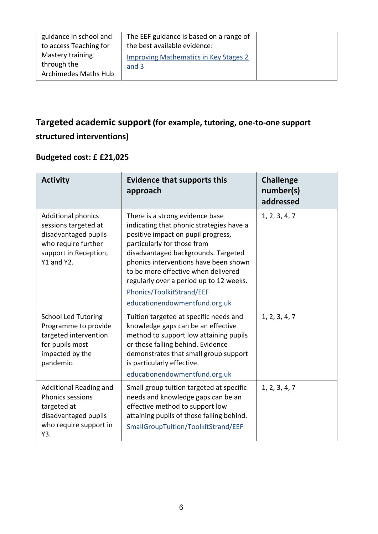| guidance in school and<br>to access Teaching for        | The EEF guidance is based on a range of<br>the best available evidence: |  |
|---------------------------------------------------------|-------------------------------------------------------------------------|--|
| Mastery training<br>through the<br>Archimedes Maths Hub | <b>Improving Mathematics in Key Stages 2</b><br>and 3                   |  |

## **Targeted academic support (for example, tutoring, one-to-one support structured interventions)**

### **Budgeted cost: £ £21,025**

| <b>Activity</b>                                                                                                                         | <b>Evidence that supports this</b><br>approach                                                                                                                                                                                                                                                                                                                                   | <b>Challenge</b><br>number(s)<br>addressed |
|-----------------------------------------------------------------------------------------------------------------------------------------|----------------------------------------------------------------------------------------------------------------------------------------------------------------------------------------------------------------------------------------------------------------------------------------------------------------------------------------------------------------------------------|--------------------------------------------|
| <b>Additional phonics</b><br>sessions targeted at<br>disadvantaged pupils<br>who require further<br>support in Reception,<br>Y1 and Y2. | There is a strong evidence base<br>indicating that phonic strategies have a<br>positive impact on pupil progress,<br>particularly for those from<br>disadvantaged backgrounds. Targeted<br>phonics interventions have been shown<br>to be more effective when delivered<br>regularly over a period up to 12 weeks.<br>Phonics/ToolkitStrand/EEF<br>educationendowmentfund.org.uk | 1, 2, 3, 4, 7                              |
| <b>School Led Tutoring</b><br>Programme to provide<br>targeted intervention<br>for pupils most<br>impacted by the<br>pandemic.          | Tuition targeted at specific needs and<br>knowledge gaps can be an effective<br>method to support low attaining pupils<br>or those falling behind. Evidence<br>demonstrates that small group support<br>is particularly effective.<br>educationendowmentfund.org.uk                                                                                                              | 1, 2, 3, 4, 7                              |
| Additional Reading and<br><b>Phonics sessions</b><br>targeted at<br>disadvantaged pupils<br>who require support in<br>Y3.               | Small group tuition targeted at specific<br>needs and knowledge gaps can be an<br>effective method to support low<br>attaining pupils of those falling behind.<br>SmallGroupTuition/ToolkitStrand/EEF                                                                                                                                                                            | 1, 2, 3, 4, 7                              |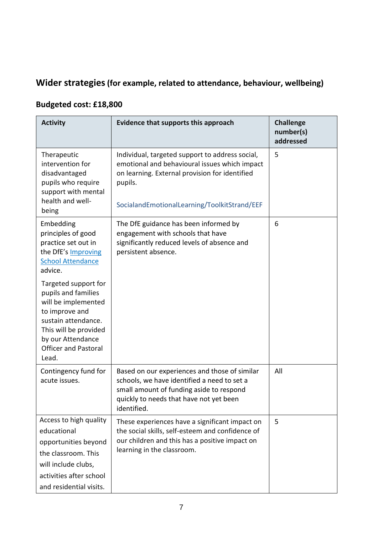## **Wider strategies(for example, related to attendance, behaviour, wellbeing)**

### **Budgeted cost: £18,800**

| <b>Activity</b>                                                                                                                                                                                   | Evidence that supports this approach                                                                                                                                                                          | <b>Challenge</b><br>number(s)<br>addressed |
|---------------------------------------------------------------------------------------------------------------------------------------------------------------------------------------------------|---------------------------------------------------------------------------------------------------------------------------------------------------------------------------------------------------------------|--------------------------------------------|
| Therapeutic<br>intervention for<br>disadvantaged<br>pupils who require<br>support with mental<br>health and well-<br>being                                                                        | Individual, targeted support to address social,<br>emotional and behavioural issues which impact<br>on learning. External provision for identified<br>pupils.<br>SocialandEmotionalLearning/ToolkitStrand/EEF | 5                                          |
| Embedding<br>principles of good<br>practice set out in<br>the DfE's Improving<br><b>School Attendance</b><br>advice.                                                                              | The DfE guidance has been informed by<br>engagement with schools that have<br>significantly reduced levels of absence and<br>persistent absence.                                                              | 6                                          |
| Targeted support for<br>pupils and families<br>will be implemented<br>to improve and<br>sustain attendance.<br>This will be provided<br>by our Attendance<br><b>Officer and Pastoral</b><br>Lead. |                                                                                                                                                                                                               |                                            |
| Contingency fund for<br>acute issues.                                                                                                                                                             | Based on our experiences and those of similar<br>schools, we have identified a need to set a<br>small amount of funding aside to respond<br>quickly to needs that have not yet been<br>identified.            | All                                        |
| Access to high quality<br>educational<br>opportunities beyond<br>the classroom. This<br>will include clubs,<br>activities after school<br>and residential visits.                                 | These experiences have a significant impact on<br>the social skills, self-esteem and confidence of<br>our children and this has a positive impact on<br>learning in the classroom.                            | 5                                          |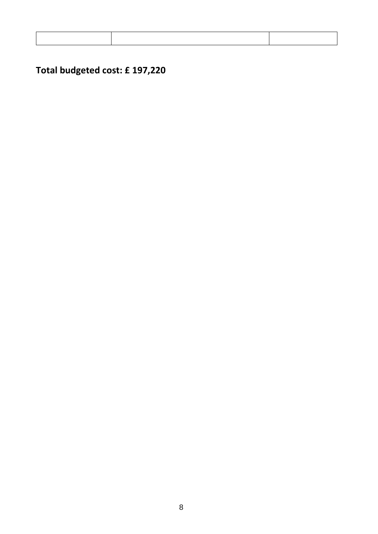# **Total budgeted cost: £ 197,220**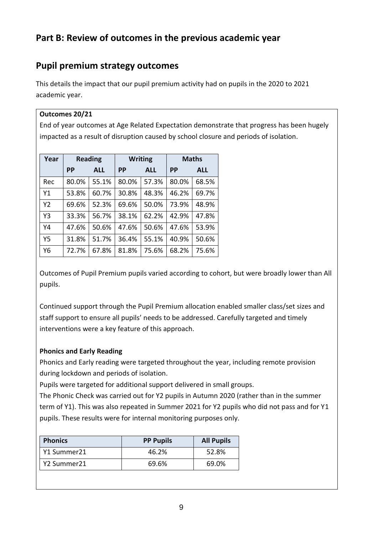#### **Part B: Review of outcomes in the previous academic year**

### **Pupil premium strategy outcomes**

This details the impact that our pupil premium activity had on pupils in the 2020 to 2021 academic year.

#### **Outcomes 20/21**

End of year outcomes at Age Related Expectation demonstrate that progress has been hugely impacted as a result of disruption caused by school closure and periods of isolation.

| Year           | <b>Reading</b> |            | <b>Writing</b> |            | <b>Maths</b> |            |
|----------------|----------------|------------|----------------|------------|--------------|------------|
|                | <b>PP</b>      | <b>ALL</b> | <b>PP</b>      | <b>ALL</b> | РP           | <b>ALL</b> |
| Rec            | 80.0%          | 55.1%      | 80.0%          | 57.3%      | 80.0%        | 68.5%      |
| Y1             | 53.8%          | 60.7%      | 30.8%          | 48.3%      | 46.2%        | 69.7%      |
| Y <sub>2</sub> | 69.6%          | 52.3%      | 69.6%          | 50.0%      | 73.9%        | 48.9%      |
| Y3             | 33.3%          | 56.7%      | 38.1%          | 62.2%      | 42.9%        | 47.8%      |
| Y4             | 47.6%          | 50.6%      | 47.6%          | 50.6%      | 47.6%        | 53.9%      |
| Y5             | 31.8%          | 51.7%      | 36.4%          | 55.1%      | 40.9%        | 50.6%      |
| Y6             | 72.7%          | 67.8%      | 81.8%          | 75.6%      | 68.2%        | 75.6%      |

Outcomes of Pupil Premium pupils varied according to cohort, but were broadly lower than All pupils.

Continued support through the Pupil Premium allocation enabled smaller class/set sizes and staff support to ensure all pupils' needs to be addressed. Carefully targeted and timely interventions were a key feature of this approach.

#### **Phonics and Early Reading**

Phonics and Early reading were targeted throughout the year, including remote provision during lockdown and periods of isolation.

Pupils were targeted for additional support delivered in small groups.

The Phonic Check was carried out for Y2 pupils in Autumn 2020 (rather than in the summer term of Y1). This was also repeated in Summer 2021 for Y2 pupils who did not pass and for Y1 pupils. These results were for internal monitoring purposes only.

| <b>Phonics</b> | <b>PP Pupils</b> | <b>All Pupils</b> |
|----------------|------------------|-------------------|
| Y1 Summer21    | 46.2%            | 52.8%             |
| Y2 Summer21    | 69.6%            | 69.0%             |